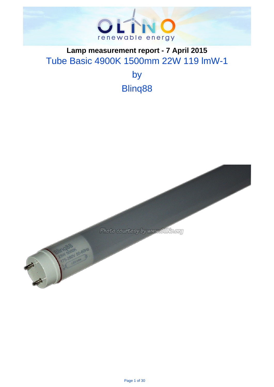

# . **Lamp measurement report - 7 April 2015** Tube Basic 4900K 1500mm 22W 119 lmW-1

by Blinq88

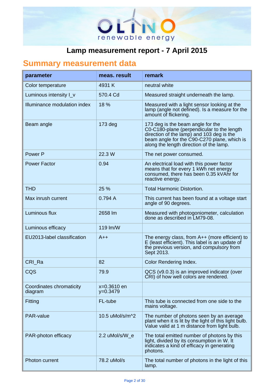

# . **Summary measurement data**

| parameter                           | meas, result              | remark                                                                                                                                                                                                                 |
|-------------------------------------|---------------------------|------------------------------------------------------------------------------------------------------------------------------------------------------------------------------------------------------------------------|
| Color temperature                   | 4931 K                    | neutral white                                                                                                                                                                                                          |
| Luminous intensity I_v              | 570.4 Cd                  | Measured straight underneath the lamp.                                                                                                                                                                                 |
| Illuminance modulation index        | 18 %                      | Measured with a light sensor looking at the<br>lamp (angle not defined). Is a measure for the<br>amount of flickering.                                                                                                 |
| Beam angle                          | $173$ deg                 | 173 deg is the beam angle for the<br>C0-C180-plane (perpendicular to the length<br>direction of the lamp) and 103 deg is the<br>beam angle for the C90-C270 plane, which is<br>along the length direction of the lamp. |
| Power P                             | 22.3 W                    | The net power consumed.                                                                                                                                                                                                |
| <b>Power Factor</b>                 | 0.94                      | An electrical load with this power factor<br>means that for every 1 kWh net energy<br>consumed, there has been 0.35 kVAhr for<br>reactive energy.                                                                      |
| <b>THD</b>                          | 25 %                      | <b>Total Harmonic Distortion.</b>                                                                                                                                                                                      |
| Max inrush current                  | 0.794A                    | This current has been found at a voltage start<br>angle of 90 degrees.                                                                                                                                                 |
| Luminous flux                       | 2658 lm                   | Measured with photogoniometer, calculation<br>done as described in LM79-08.                                                                                                                                            |
| Luminous efficacy                   | 119 lm/W                  |                                                                                                                                                                                                                        |
| EU2013-label classification         | $A++$                     | The energy class, from $A++$ (more efficient) to<br>E (least efficient). This label is an update of<br>the previous version, and compulsory from<br>Sept 2013.                                                         |
| CRI Ra                              | 82                        | Color Rendering Index.                                                                                                                                                                                                 |
| CQS                                 | 79.9                      | QCS (v9.0.3) is an improved indicator (over<br>CRI) of how well colors are rendered.                                                                                                                                   |
| Coordinates chromaticity<br>diagram | x=0.3610 en<br>$y=0.3479$ |                                                                                                                                                                                                                        |
| Fitting                             | FL-tube                   | This tube is connected from one side to the<br>mains voltage.                                                                                                                                                          |
| PAR-value                           | 10.5 uMol/s/m^2           | The number of photons seen by an average<br>plant when it is lit by the light of this light bulb.<br>Value valid at 1 m distance from light bulb.                                                                      |
| PAR-photon efficacy                 | 2.2 uMol/s/W_e            | The total emitted number of photons by this<br>light, divided by its consumption in W. It<br>indicates a kind of efficacy in generating<br>photons.                                                                    |
| <b>Photon current</b>               | 78.2 uMol/s               | The total number of photons in the light of this<br>lamp.                                                                                                                                                              |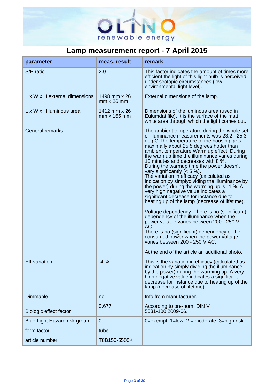

| parameter                     | meas. result                      | remark                                                                                                                                                                                                                                                                                                                                                                                                                                                                                                                                                                                                                                                                                                                                                                                                                                                                                                                                                                                                                  |
|-------------------------------|-----------------------------------|-------------------------------------------------------------------------------------------------------------------------------------------------------------------------------------------------------------------------------------------------------------------------------------------------------------------------------------------------------------------------------------------------------------------------------------------------------------------------------------------------------------------------------------------------------------------------------------------------------------------------------------------------------------------------------------------------------------------------------------------------------------------------------------------------------------------------------------------------------------------------------------------------------------------------------------------------------------------------------------------------------------------------|
| S/P ratio                     | 2.0                               | This factor indicates the amount of times more<br>efficient the light of this light bulb is perceived<br>under scotopic circumstances (low<br>environmental light level).                                                                                                                                                                                                                                                                                                                                                                                                                                                                                                                                                                                                                                                                                                                                                                                                                                               |
| L x W x H external dimensions | 1498 mm x 26<br>$mm \times 26$ mm | External dimensions of the lamp.                                                                                                                                                                                                                                                                                                                                                                                                                                                                                                                                                                                                                                                                                                                                                                                                                                                                                                                                                                                        |
| L x W x H luminous area       | 1412 mm x 26<br>mm x 165 mm       | Dimensions of the luminous area (used in<br>Eulumdat file). It is the surface of the matt<br>white area through which the light comes out.                                                                                                                                                                                                                                                                                                                                                                                                                                                                                                                                                                                                                                                                                                                                                                                                                                                                              |
| <b>General remarks</b>        |                                   | The ambient temperature during the whole set<br>of illuminance measurements was 23.2 - 25.3<br>deg C. The temperature of the housing gets<br>maximally about 25.5 degrees hotter than<br>ambient temperature. Warm up effect: During<br>the warmup time the illuminance varies during<br>10 minutes and decreases with 8 %.<br>During the warmup time the power doesn't<br>vary significantly $(< 5 %)$ .<br>The variation in efficacy (calculated as<br>indication by simplydividing the illuminance by<br>the power) during the warming up is -4 %. A<br>very high negative value indicates a<br>significant decrease for instance due to<br>heating up of the lamp (decrease of lifetime).<br>Voltage dependency: There is no (significant)<br>dependency of the illuminance when the<br>power voltage varies between 200 - 250 V<br>AC.<br>There is no (significant) dependency of the<br>consumed power when the power voltage<br>varies between 200 - 250 V AC.<br>At the end of the article an additional photo. |
| <b>Eff-variation</b>          | $-4%$                             | This is the variation in efficacy (calculated as<br>indication by simply dividing the illuminance<br>by the power) during the warming up. A very<br>high negative value indicates a significant<br>decrease for instance due to heating up of the<br>lamp (decrease of lifetime).                                                                                                                                                                                                                                                                                                                                                                                                                                                                                                                                                                                                                                                                                                                                       |
| <b>Dimmable</b>               | no                                | Info from manufacturer.                                                                                                                                                                                                                                                                                                                                                                                                                                                                                                                                                                                                                                                                                                                                                                                                                                                                                                                                                                                                 |
| Biologic effect factor        | 0.677                             | According to pre-norm DIN V<br>5031-100:2009-06.                                                                                                                                                                                                                                                                                                                                                                                                                                                                                                                                                                                                                                                                                                                                                                                                                                                                                                                                                                        |
| Blue Light Hazard risk group  | $\overline{0}$                    | 0=exempt, $1=low$ , $2=moderate$ , $3=high risk$ .                                                                                                                                                                                                                                                                                                                                                                                                                                                                                                                                                                                                                                                                                                                                                                                                                                                                                                                                                                      |
| form factor                   | tube                              |                                                                                                                                                                                                                                                                                                                                                                                                                                                                                                                                                                                                                                                                                                                                                                                                                                                                                                                                                                                                                         |
| article number                | T8B150-5500K                      |                                                                                                                                                                                                                                                                                                                                                                                                                                                                                                                                                                                                                                                                                                                                                                                                                                                                                                                                                                                                                         |

.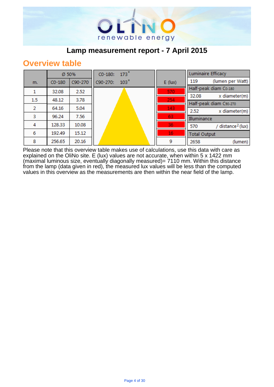

## **Overview table**

|     | Ø 50%    |         | $173^\circ$<br>$CO-180:$ |                 | <b>Luminaire Efficacy</b>            |
|-----|----------|---------|--------------------------|-----------------|--------------------------------------|
| m.  | $CO-180$ | C90-270 | 103°<br>C90-270:         | $E$ (lux)       | (lumen per Watt)<br>119              |
|     | 32.08    | 2.52    |                          | 570             | Half-peak diam Co-180                |
|     |          |         |                          |                 | x diameter(m)<br>32.08               |
| 1.5 | 48.12    | 3.78    |                          | 254             | Half-peak diam C90-270               |
| 2   | 64.16    | 5.04    |                          | 143             | 2.52<br>x diameter(m)                |
| з   | 96.24    | 7.56    |                          | 63              | Illuminance                          |
| 4   | 128.33   | 10.08   |                          | 36              | / distance <sup>2</sup> (lux)<br>570 |
| 6   | 192.49   | 15.12   |                          | 16 <sub>1</sub> | <b>Total Output</b>                  |
| 8   | 256.65   | 20.16   |                          | 9               | 2658<br>(lumen)                      |

Please note that this overview table makes use of calculations, use this data with care as explained on the OliNo site. E (lux) values are not accurate, when within 5 x 1422 mm (maximal luminous size, eventually diagonally measured)= 7110 mm. Within this distance from the lamp (data given in red), the measured lux values will be less than the computed values in this overview as the measurements are then within the near field of the lamp.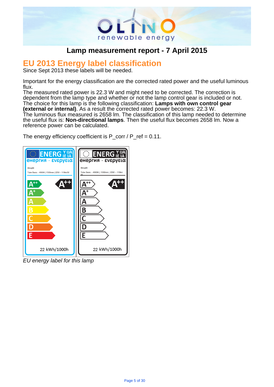

# . **EU 2013 Energy label classification**

Since Sept 2013 these labels will be needed.

Important for the energy classification are the corrected rated power and the useful luminous flux.

The measured rated power is 22.3 W and might need to be corrected. The correction is dependent from the lamp type and whether or not the lamp control gear is included or not. The choice for this lamp is the following classification: **Lamps with own control gear (external or internal)**. As a result the corrected rated power becomes: 22.3 W. The luminous flux measured is 2658 lm. The classification of this lamp needed to determine the useful flux is: **Non-directional lamps**. Then the useful flux becomes 2658 lm. Now a reference power can be calculated.

The energy efficiency coefficient is  $P_{corr}$  /  $P_{ref}$  = 0.11.



EU energy label for this lamp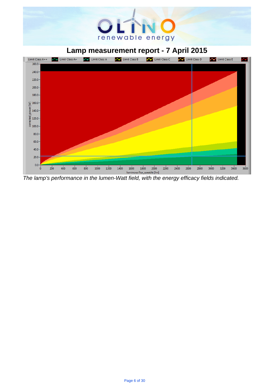# renewable energy

## . **Lamp measurement report - 7 April 2015**



The lamp's performance in the lumen-Watt field, with the energy efficacy fields indicated.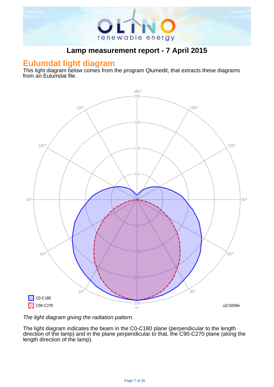

#### **Eulumdat light diagram**

This light diagram below comes from the program Qlumedit, that extracts these diagrams from an Eulumdat file.



The light diagram giving the radiation pattern.

The light diagram indicates the beam in the C0-C180 plane (perpendicular to the length direction of the lamp) and in the plane perpendicular to that, the C90-C270 plane (along the length direction of the lamp).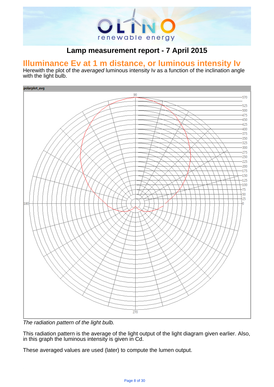

# . **Illuminance Ev at 1 m distance, or luminous intensity Iv**

Herewith the plot of the averaged luminous intensity Iv as a function of the inclination angle with the light bulb.



The radiation pattern of the light bulb.

This radiation pattern is the average of the light output of the light diagram given earlier. Also, in this graph the luminous intensity is given in Cd.

These averaged values are used (later) to compute the lumen output.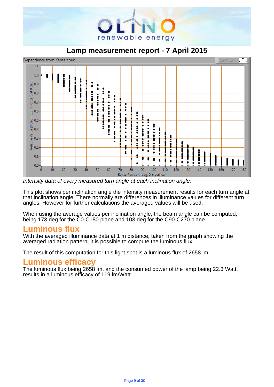

. **Lamp measurement report - 7 April 2015**



Intensity data of every measured turn angle at each inclination angle.

This plot shows per inclination angle the intensity measurement results for each turn angle at that inclination angle. There normally are differences in illuminance values for different turn angles. However for further calculations the averaged values will be used.

When using the average values per inclination angle, the beam angle can be computed, being 173 deg for the C0-C180 plane and 103 deg for the C90-C270 plane.

## **Luminous flux**

With the averaged illuminance data at 1 m distance, taken from the graph showing the averaged radiation pattern, it is possible to compute the luminous flux.

The result of this computation for this light spot is a luminous flux of 2658 lm.

## **Luminous efficacy**

The luminous flux being 2658 lm, and the consumed power of the lamp being 22.3 Watt, results in a luminous efficacy of 119 lm/Watt.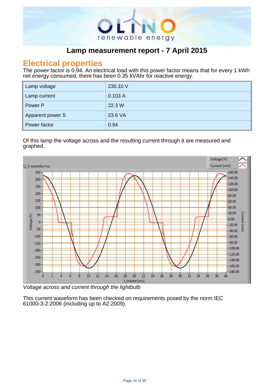

#### **Electrical properties**

The power factor is 0.94. An electrical load with this power factor means that for every 1 kWh net energy consumed, there has been 0.35 kVAhr for reactive energy.

| Lamp voltage     | 230.10 V |
|------------------|----------|
| Lamp current     | 0.103A   |
| Power P          | 22.3 W   |
| Apparent power S | 23.6 VA  |
| Power factor     | 0.94     |

.

Of this lamp the voltage across and the resulting current through it are measured and graphed. .



Voltage across and current through the lightbulb

This current waveform has been checked on requirements posed by the norm IEC 61000-3-2:2006 (including up to A2:2009).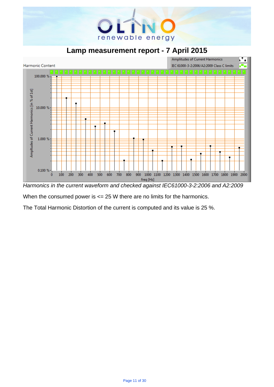

. **Lamp measurement report - 7 April 2015**



Harmonics in the current waveform and checked against IEC61000-3-2:2006 and A2:2009

When the consumed power is  $\leq$  25 W there are no limits for the harmonics.

The Total Harmonic Distortion of the current is computed and its value is 25 %.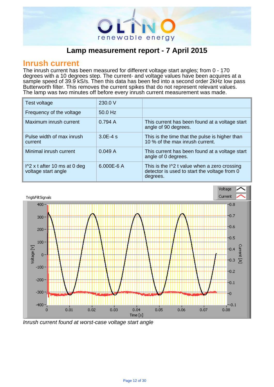

#### **Inrush current**

The inrush current has been measured for different voltage start angles; from 0 - 170 degrees with a 10 degrees step. The current- and voltage values have been acquires at a sample speed of 39.9 kS/s. Then this data has been fed into a second order 2kHz low pass Butterworth filter. This removes the current spikes that do not represent relevant values. The lamp was two minutes off before every inrush current measurement was made.

| Test voltage                                                  | 230.0 V    |                                                                                                                    |
|---------------------------------------------------------------|------------|--------------------------------------------------------------------------------------------------------------------|
| Frequency of the voltage                                      | $50.0$ Hz  |                                                                                                                    |
| Maximum inrush current                                        | 0.794A     | This current has been found at a voltage start<br>angle of 90 degrees.                                             |
| Pulse width of max inrush<br>current                          | $3.0E-4s$  | This is the time that the pulse is higher than<br>10 % of the max inrush current.                                  |
| Minimal inrush current                                        | 0.049A     | This current has been found at a voltage start<br>angle of 0 degrees.                                              |
| $\frac{1}{2}$ x t after 10 ms at 0 deg<br>voltage start angle | 6.000E-6 A | This is the $\frac{1}{2}$ t value when a zero crossing<br>detector is used to start the voltage from 0<br>degrees. |

.



Inrush current found at worst-case voltage start angle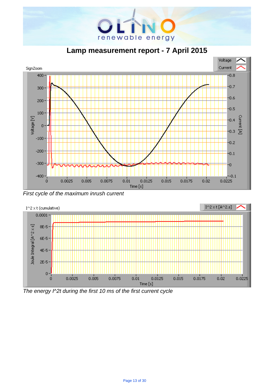

. **Lamp measurement report - 7 April 2015**



First cycle of the maximum inrush current



The energy I^2t during the first 10 ms of the first current cycle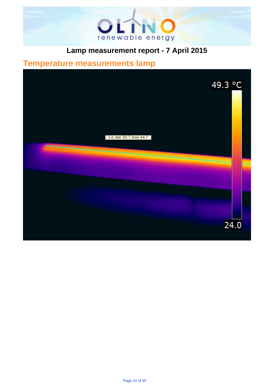

# . **Temperature measurements lamp**

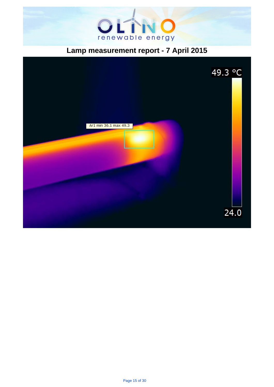

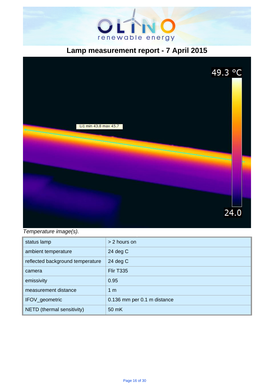



#### Temperature image(s).

| status lamp                      | > 2 hours on                |
|----------------------------------|-----------------------------|
| ambient temperature              | 24 $deg C$                  |
| reflected background temperature | 24 $deg C$                  |
| camera                           | <b>Flir T335</b>            |
| emissivity                       | 0.95                        |
| measurement distance             | 1 <sub>m</sub>              |
| IFOV_geometric                   | 0.136 mm per 0.1 m distance |
| NETD (thermal sensitivity)       | 50 mK                       |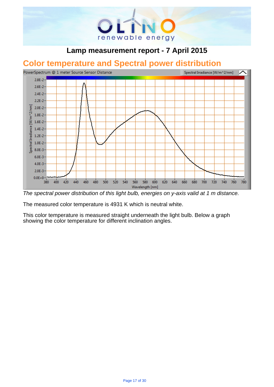

# . **Color temperature and Spectral power distribution**



The spectral power distribution of this light bulb, energies on y-axis valid at 1 m distance.

The measured color temperature is 4931 K which is neutral white.

This color temperature is measured straight underneath the light bulb. Below a graph showing the color temperature for different inclination angles.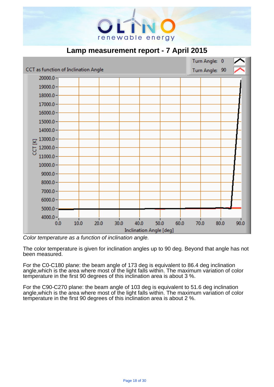

|                                      |      |              |      |                         |      |      | Turn Angle:    | $\mathbf{0}$ |
|--------------------------------------|------|--------------|------|-------------------------|------|------|----------------|--------------|
| CCT as function of Inclination Angle |      |              |      |                         |      |      | Turn Angle: 90 |              |
| $20000.0 -$                          |      |              |      |                         |      |      |                |              |
| $19000.0 -$                          |      |              |      |                         |      |      |                |              |
| $18000.0 -$                          |      |              |      |                         |      |      |                |              |
| $17000.0 -$                          |      |              |      |                         |      |      |                |              |
| $16000.0 -$                          |      |              |      |                         |      |      |                |              |
| $15000.0 -$                          |      |              |      |                         |      |      |                |              |
| $14000.0 -$                          |      |              |      |                         |      |      |                |              |
| $13000.0 -$<br>☑                     |      |              |      |                         |      |      |                |              |
| $12000.0 -$<br>ā                     |      |              |      |                         |      |      |                |              |
| $11000.0 -$                          |      |              |      |                         |      |      |                |              |
| $10000.0 -$                          |      |              |      |                         |      |      |                |              |
| $9000.0 -$                           |      |              |      |                         |      |      |                |              |
| $8000.0 -$                           |      |              |      |                         |      |      |                |              |
| $7000.0 -$                           |      |              |      |                         |      |      |                |              |
| $6000.0 -$                           |      |              |      |                         |      |      |                |              |
| $5000.0 -$                           |      |              |      |                         |      |      |                |              |
| $4000.0 -$                           |      |              |      |                         |      |      |                |              |
| 0.0                                  | 10.0 | 30.0<br>20.0 | 40.0 | 50.0                    | 60.0 | 70.0 | 80.0           | 90.0         |
|                                      |      |              |      | Inclination Angle [deg] |      |      |                |              |

Color temperature as a function of inclination angle.

The color temperature is given for inclination angles up to 90 deg. Beyond that angle has not been measured.

For the C0-C180 plane: the beam angle of 173 deg is equivalent to 86.4 deg inclination angle, which is the area where most of the light falls within. The maximum variation of color temperature in the first 90 degrees of this inclination area is about 3 %.

For the C90-C270 plane: the beam angle of 103 deg is equivalent to 51.6 deg inclination angle,which is the area where most of the light falls within. The maximum variation of color temperature in the first 90 degrees of this inclination area is about 2 %.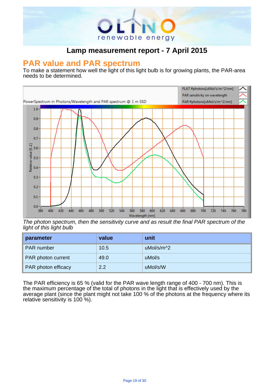

# . **PAR value and PAR spectrum**

To make a statement how well the light of this light bulb is for growing plants, the PAR-area needs to be determined.



The photon spectrum, then the sensitivity curve and as result the final PAR spectrum of the light of this light bulb

| parameter           | value | unit       |
|---------------------|-------|------------|
| <b>PAR</b> number   | 10.5  | uMol/s/m^2 |
| PAR photon current  | 49.0  | uMol/s     |
| PAR photon efficacy | 2.2   | uMol/s/W   |

The PAR efficiency is 65 % (valid for the PAR wave length range of 400 - 700 nm). This is the maximum percentage of the total of photons in the light that is effectively used by the average plant (since the plant might not take 100 % of the photons at the frequency where its relative sensitivity is 100 %).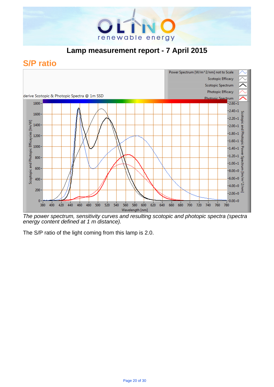

## **S/P ratio**



The power spectrum, sensitivity curves and resulting scotopic and photopic spectra (spectra energy content defined at 1 m distance).

The S/P ratio of the light coming from this lamp is 2.0.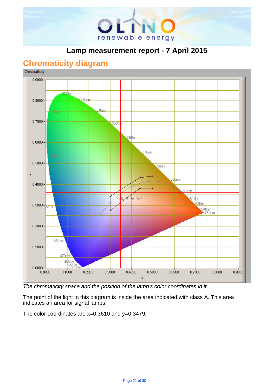

## **Chromaticity diagram**



The chromaticity space and the position of the lamp's color coordinates in it.

The point of the light in this diagram is inside the area indicated with class A. This area indicates an area for signal lamps.

The color coordinates are  $x=0.3610$  and  $y=0.3479$ .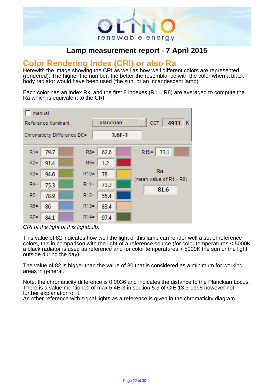

# . **Color Rendering Index (CRI) or also Ra**

Herewith the image showing the CRI as well as how well different colors are represented (rendered). The higher the number, the better the resemblance with the color when a black body radiator would have been used (the sun, or an incandescent lamp)

Each color has an index Rx, and the first 8 indexes (R1 .. R8) are averaged to compute the Ra which is equivalent to the CRI.



CRI of the light of this lightbulb.

This value of 82 indicates how well the light of this lamp can render well a set of reference colors, this in comparison with the light of a reference source (for color temperatures < 5000K a black radiator is used as reference and for color temperatures > 5000K the sun or the light outside during the day).

The value of 82 is bigger than the value of 80 that is considered as a minimum for working areas in general.

Note: the chromaticity difference is 0.0036 and indicates the distance to the Planckian Locus. There is a value mentioned of max 5.4E-3 in section 5.3 of CIE 13.3-1995 however not further explanation of it.

An other reference with signal lights as a reference is given in the chromaticity diagram.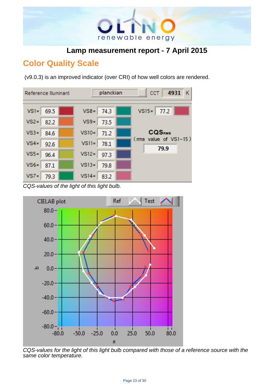

## **Color Quality Scale**

(v9.0.3) is an improved indicator (over CRI) of how well colors are rendered.



CQS-values of the light of this light bulb.



CQS-values for the light of this light bulb compared with those of a reference source with the same color temperature.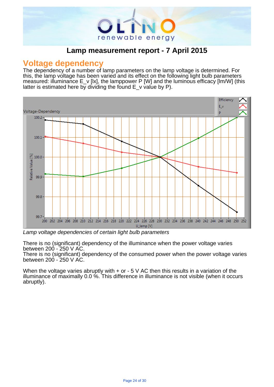

#### **Voltage dependency**

The dependency of a number of lamp parameters on the lamp voltage is determined. For this, the lamp voltage has been varied and its effect on the following light bulb parameters measured: illuminance E\_v [lx], the lamppower P [W] and the luminous efficacy [lm/W] (this latter is estimated here by dividing the found  $E_{v}$  value by P).

.



Lamp voltage dependencies of certain light bulb parameters

There is no (significant) dependency of the illuminance when the power voltage varies between 200 - 250 V AC.

There is no (significant) dependency of the consumed power when the power voltage varies between 200 - 250 V AC.

When the voltage varies abruptly with  $+$  or  $-5$  V AC then this results in a variation of the illuminance of maximally 0.0 %. This difference in illuminance is not visible (when it occurs abruptly).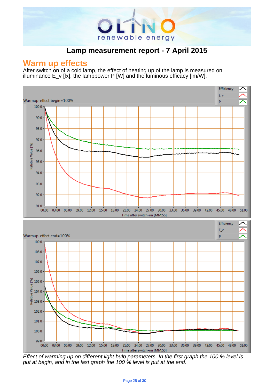

.

#### **Warm up effects**

After switch on of a cold lamp, the effect of heating up of the lamp is measured on illuminance  $E_v$  [kx], the lamppower P [W] and the luminous efficacy [lm/W].



Effect of warming up on different light bulb parameters. In the first graph the 100 % level is put at begin, and in the last graph the 100 % level is put at the end.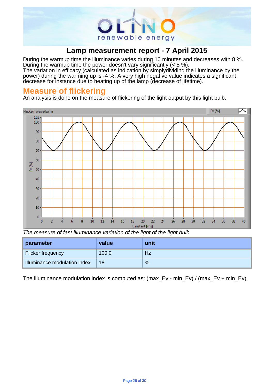

During the warmup time the illuminance varies during 10 minutes and decreases with 8 %. During the warmup time the power doesn't vary significantly (< 5 %). The variation in efficacy (calculated as indication by simply dividing the illuminance by the

power) during the warming up is -4 %. A very high negative value indicates a significant decrease for instance due to heating up of the lamp (decrease of lifetime).

## **Measure of flickering**

An analysis is done on the measure of flickering of the light output by this light bulb.



The measure of fast illuminance variation of the light of the light bulb

| parameter                    | value | unit |
|------------------------------|-------|------|
| Flicker frequency            | 100.0 | Hz   |
| Illuminance modulation index | 18    | %    |

The illuminance modulation index is computed as: (max Ev - min\_Ev) / (max Ev + min\_Ev).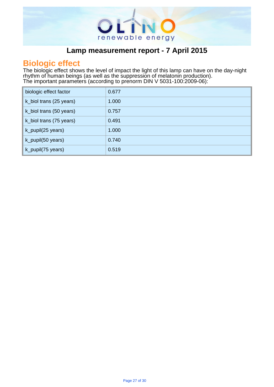

# . **Biologic effect**

The biologic effect shows the level of impact the light of this lamp can have on the day-night rhythm of human beings (as well as the suppression of melatonin production). The important parameters (according to prenorm DIN V 5031-100:2009-06): .

| biologic effect factor  | 0.677 |
|-------------------------|-------|
| k_biol trans (25 years) | 1.000 |
| k_biol trans (50 years) | 0.757 |
| k_biol trans (75 years) | 0.491 |
| k_pupil(25 years)       | 1.000 |
| k_pupil(50 years)       | 0.740 |
| k_pupil(75 years)       | 0.519 |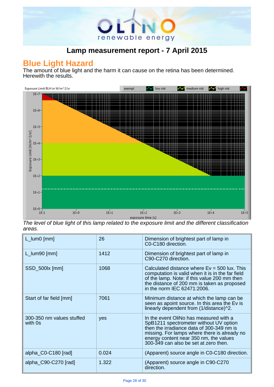

## **Blue Light Hazard**

The amount of blue light and the harm it can cause on the retina has been determined. Herewith the results.



The level of blue light of this lamp related to the exposure limit and the different classification areas.

| $L_lum0$ [mm]                        | 26    | Dimension of brightest part of lamp in<br>C0-C180 direction.                                                                                                                                                                                                     |
|--------------------------------------|-------|------------------------------------------------------------------------------------------------------------------------------------------------------------------------------------------------------------------------------------------------------------------|
| $L_lum90$ [mm]                       | 1412  | Dimension of brightest part of lamp in<br>C90-C270 direction.                                                                                                                                                                                                    |
| SSD_500lx [mm]                       | 1068  | Calculated distance where $Ev = 500$ lux. This<br>computation is valid when it is in the far field<br>of the lamp. Note: if this value 200 mm then<br>the distance of 200 mm is taken as proposed<br>in the norm IEC 62471:2006.                                 |
| Start of far field [mm]              | 7061  | Minimum distance at which the lamp can be<br>seen as apoint source. In this area the Ev is<br>linearly dependent from (1/distance)^2.                                                                                                                            |
| 300-350 nm values stuffed<br>with 0s | yes   | In the event OliNo has measured with a<br>SpB1211 spectrometer without UV option<br>then the irradiance data of 300-349 nm is<br>missing. For lamps where there is already no<br>energy content near 350 nm, the values<br>300-349 can also be set at zero then. |
| alpha_C0-C180 [rad]                  | 0.024 | (Apparent) source angle in C0-C180 direction.                                                                                                                                                                                                                    |
| alpha_C90-C270 [rad]                 | 1.322 | (Apparent) source angle in C90-C270<br>direction.                                                                                                                                                                                                                |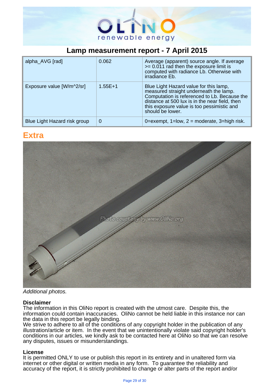

| alpha_AVG [rad]              | 0.062     | Average (apparent) source angle. If average<br>$>= 0.011$ rad then the exposure limit is<br>computed with radiance Lb. Otherwise with<br>irradiance Eb.                                                                                              |
|------------------------------|-----------|------------------------------------------------------------------------------------------------------------------------------------------------------------------------------------------------------------------------------------------------------|
| Exposure value [W/m^2/sr]    | $1.55E+1$ | Blue Light Hazard value for this lamp,<br>measured straight underneath the lamp.<br>Computation is referenced to Lb. Because the<br>distance at 500 lux is in the near field, then<br>this exposure value is too pessimistic and<br>should be lower. |
| Blue Light Hazard risk group | 0         | 0=exempt, $1=low$ , $2=moderate$ , $3=high risk$ .                                                                                                                                                                                                   |

.

#### **Extra**



Additional photos.

#### **Disclaimer**

The information in this OliNo report is created with the utmost care. Despite this, the information could contain inaccuracies. OliNo cannot be held liable in this instance nor can the data in this report be legally binding.

We strive to adhere to all of the conditions of any copyright holder in the publication of any illustration/article or item. In the event that we unintentionally violate said copyright holder's conditions in our articles, we kindly ask to be contacted here at OliNo so that we can resolve any disputes, issues or misunderstandings.

#### **License**

It is permitted ONLY to use or publish this report in its entirety and in unaltered form via internet or other digital or written media in any form. To guarantee the reliability and accuracy of the report, it is strictly prohibited to change or alter parts of the report and/or